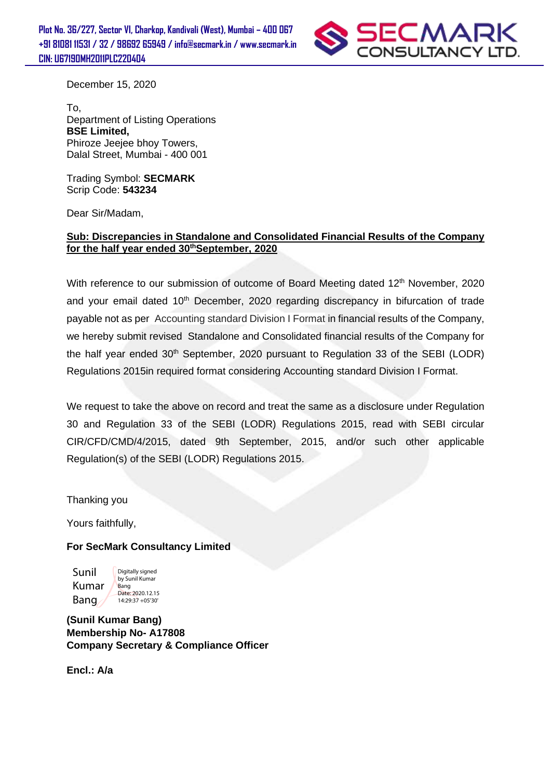**Plot No. 36/227, Sector VI, Charkop, Kandivali (West), Mumbai – 400 067 +91 81081 11531 / 32 / 98692 65949 / info@secmark.in / www.secmark.in CIN: U67190MH2011PLC220404**



December 15, 2020

To, Department of Listing Operations **BSE Limited,**  Phiroze Jeejee bhoy Towers, Dalal Street, Mumbai - 400 001

Trading Symbol: **SECMARK** Scrip Code: **543234**

Dear Sir/Madam,

## **Sub: Discrepancies in Standalone and Consolidated Financial Results of the Company for the half year ended 30thSeptember, 2020**

With reference to our submission of outcome of Board Meeting dated 12<sup>th</sup> November, 2020 and your email dated 10<sup>th</sup> December, 2020 regarding discrepancy in bifurcation of trade payable not as per Accounting standard Division I Format in financial results of the Company, we hereby submit revised Standalone and Consolidated financial results of the Company for the half year ended 30<sup>th</sup> September, 2020 pursuant to Regulation 33 of the SEBI (LODR) Regulations 2015in required format considering Accounting standard Division I Format.

We request to take the above on record and treat the same as a disclosure under Regulation 30 and Regulation 33 of the SEBI (LODR) Regulations 2015, read with SEBI circular CIR/CFD/CMD/4/2015, dated 9th September, 2015, and/or such other applicable Regulation(s) of the SEBI (LODR) Regulations 2015.

Thanking you

Yours faithfully,

## **For SecMark Consultancy Limited**

Sunil Kumar Bang Digitally signed by Sunil Kumar Bang Date: 2020.12.15 14:29:37 +05'30'

**(Sunil Kumar Bang) Membership No- A17808 Company Secretary & Compliance Officer**

**Encl.: A/a**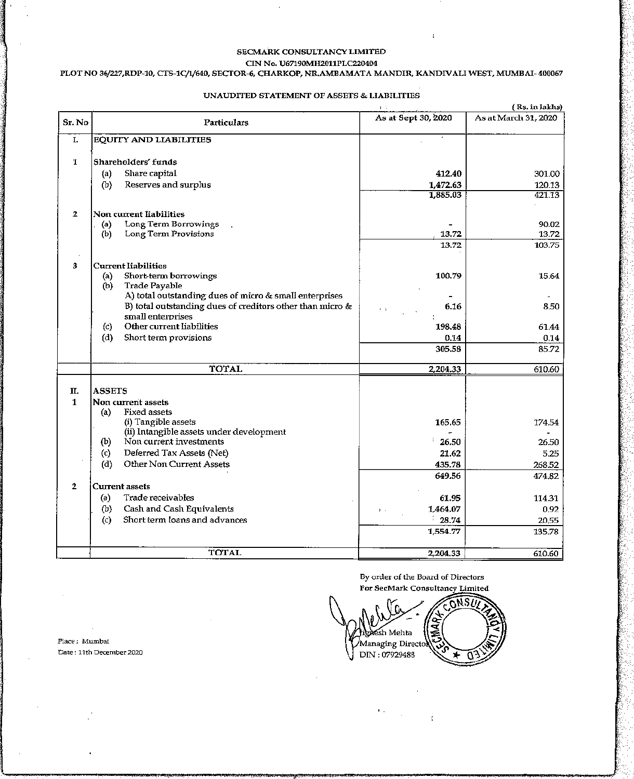#### SECMARK CONSULTANCY LIMITED CIN No. U67190MH2011PLC220404

#### PLOT NO 36/227, RDP-10, CTS-1C/1/640, SECTOR-6, CHARKOP, NR.AMBAMATA MANDIR, KANDIVALI WEST, MUMBAI-400067

## UNAUDITED STATEMENT OF ASSETS & LIABILITIES

|              |                                                                                                                        | 1/2                 | ( Rs. in lakhs)      |
|--------------|------------------------------------------------------------------------------------------------------------------------|---------------------|----------------------|
| Sr. No       | Particulars                                                                                                            | As at Sept 30, 2020 | As at March 31, 2020 |
| I.           | <b>EQUITY AND LIABILITIES</b>                                                                                          |                     |                      |
| $\mathbf{I}$ | Shareholders' funds                                                                                                    |                     |                      |
|              | Share capital<br>(a)                                                                                                   | 412.40              | 301.00               |
|              | Reserves and surplus<br>(b)                                                                                            | 1,472.63            | 120.13               |
|              |                                                                                                                        | 1,885.03            | 421.13               |
| $\mathbf{z}$ | Non current liabilities                                                                                                |                     |                      |
|              | Long Term Borrowings<br>(a)                                                                                            |                     | 90.02                |
|              | Long Term Provisions<br>(b)                                                                                            | 13.72               | 13.72                |
|              |                                                                                                                        | 13.72               | 103.75               |
| з            | <b>Current Iiabilities</b>                                                                                             |                     |                      |
|              | Short-term borrowings<br>(a)                                                                                           | 100.79              | 15.64                |
|              | (b)<br>Trade Payable                                                                                                   |                     |                      |
|              | A) total outstanding dues of micro & small enterprises<br>B) total outstanding dues of creditors other than micro $\&$ |                     | 8.50                 |
|              | small enterprises                                                                                                      | 6.16<br>$4 - 7$     |                      |
|              | Other current liabilities<br>$\left( c\right)$                                                                         | 198.48              | 61.44                |
|              | (d)<br>Short term provisions                                                                                           | 0.14                | 0.14                 |
|              |                                                                                                                        | 305.58              | 85.72                |
|              | TOTAL                                                                                                                  | 2,204.33            | 610.60               |
|              |                                                                                                                        |                     |                      |
| Π.           | <b>ASSETS</b>                                                                                                          |                     |                      |
| $\mathbf{1}$ | Non current assets                                                                                                     |                     |                      |
|              | Fixed assets<br>(a)                                                                                                    |                     |                      |
|              | (i) Tangible assets                                                                                                    | 165.65              | 174.54               |
|              | (ii) Intangible assets under development                                                                               |                     |                      |
|              | Non current investments<br>(b)                                                                                         | 26.50               | 26.50                |
|              | (c)<br>Deferred Tax Assets (Net)                                                                                       | 21.62               | 5.25                 |
|              | Other Non Current Assets<br>(d)                                                                                        | 435.78              | 268.52               |
|              |                                                                                                                        | 649.56              | 474.82               |
| $\mathbf{2}$ | Current assets                                                                                                         |                     |                      |
|              | Trade receivables<br>(a)                                                                                               | 61.95               | 114.31               |
|              | Cash and Cash Equivalents<br>(b)                                                                                       | 1,464.07            | 0.92                 |
|              | Short term loans and advances<br>(c)                                                                                   | $-28.74$            | 20,55                |
|              |                                                                                                                        | 1,554.77            | 135.78               |
|              | <b>TOTAL</b>                                                                                                           | 2,204.33            | 610.60               |

Place: Mumbai Date: 11th December 2020 By order of the Board of Directors For SecMark Consultancy Limited

 $\ddot{\phantom{a}}$ 

NSI. ्<br>द sh Mehta Managing Director DIN: 07929488

 $\dot{\tau}$ 

 $\mathbf{r}_{\mathrm{c},\mathrm{c}}$